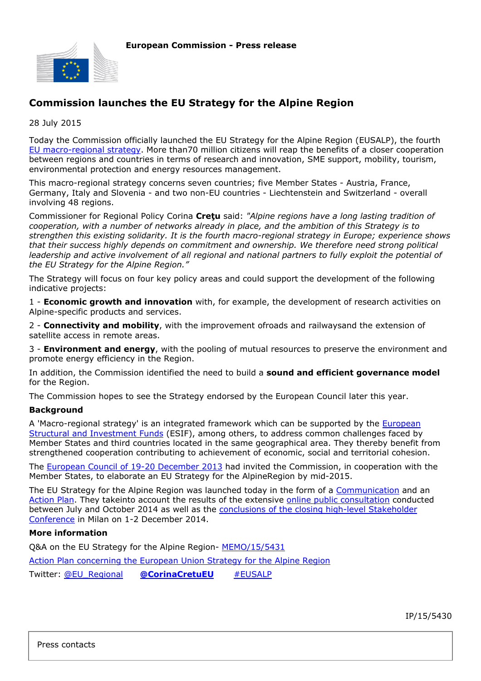

## **Commission launches the EU Strategy for the Alpine Region**

28 July 2015

Today the Commission officially launched the EU Strategy for the Alpine Region (EUSALP), the fourth [EU macro-regional strategy](http://ec.europa.eu/regional_policy/en/policy/cooperation/macro-regional-strategies/). More than70 million citizens will reap the benefits of a closer cooperation between regions and countries in terms of research and innovation, SME support, mobility, tourism, environmental protection and energy resources management.

This macro-regional strategy concerns seven countries; five Member States - Austria, France, Germany, Italy and Slovenia - and two non-EU countries - Liechtenstein and Switzerland - overall involving 48 regions.

Commissioner for Regional Policy Corina **Creţu** said: *"Alpine regions have a long lasting tradition of cooperation, with a number of networks already in place, and the ambition of this Strategy is to strengthen this existing solidarity. It is the fourth macro-regional strategy in Europe; experience shows that their success highly depends on commitment and ownership. We therefore need strong political leadership and active involvement of all regional and national partners to fully exploit the potential of the EU Strategy for the Alpine Region."*

The Strategy will focus on four key policy areas and could support the development of the following indicative projects:

1 - **Economic growth and innovation** with, for example, the development of research activities on Alpine-specific products and services.

2 - **Connectivity and mobility**, with the improvement ofroads and railwaysand the extension of satellite access in remote areas.

3 - **Environment and energy**, with the pooling of mutual resources to preserve the environment and promote energy efficiency in the Region.

In addition, the Commission identified the need to build a **sound and efficient governance model** for the Region.

The Commission hopes to see the Strategy endorsed by the European Council later this year.

## **Background**

A 'Macro-regional strategy' is an integrated framework which can be supported by the *[European](http://ec.europa.eu/regional_policy/index.cfm/en/funding/)* [Structural and Investment Funds](http://ec.europa.eu/regional_policy/index.cfm/en/funding/) (ESIF), among others, to address common challenges faced by Member States and third countries located in the same geographical area. They thereby benefit from strengthened cooperation contributing to achievement of economic, social and territorial cohesion.

The [European Council of 19-20 December 2013](http://www.consilium.europa.eu/uedocs/cms_Data/docs/pressdata/en/ec/140245.pdf) had invited the Commission, in cooperation with the Member States, to elaborate an EU Strategy for the AlpineRegion by mid-2015.

The EU Strategy for the Alpine Region was launched today in the form of a [Communication](http://ec.europa.eu/regional_policy/sources/cooperate/alpine/eusalp_communicationtion_en.pdf) and an [Action Plan.](http://ec.europa.eu/regional_policy/sources/cooperate/alpine/eusalp_action_plan.pdf) They takeinto account the results of the extensive [online public consultation](http://ec.europa.eu/regional_policy/index.cfm/en/newsroom/consultations/eusalp/) conducted between July and October 2014 as well as the [conclusions of the closing high-level Stakeholder](http://ec.europa.eu/regional_policy/en/conferences/alpine-region/) [Conference](http://ec.europa.eu/regional_policy/en/conferences/alpine-region/) in Milan on 1-2 December 2014.

## **More information**

Q&A on the EU Strategy for the Alpine Region- [MEMO/15/5431](http://europa.eu/rapid/press-release_MEMO-15-5431_en.htm)

[Action Plan concerning the European Union Strategy for the Alpine Region](http://ec.europa.eu/regional_policy/en/policy/cooperation/macro-regional-strategies/alpine/)

Twitter: [@EU\\_Regional](https://twitter.com/EU_Regional) **[@CorinaCretuEU](https://twitter.com/CorinaCretuEU)** [#EUSALP](https://twitter.com/search?q=%23EUSALP&src=typd)

IP/15/5430